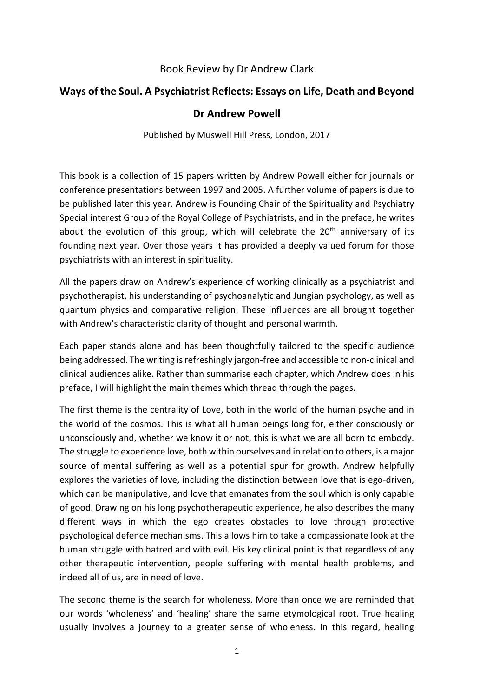## Book Review by Dr Andrew Clark

## **Ways of the Soul. A Psychiatrist Reflects: Essays on Life, Death and Beyond**

## **Dr Andrew Powell**

Published by Muswell Hill Press, London, 2017

This book is a collection of 15 papers written by Andrew Powell either for journals or conference presentations between 1997 and 2005. A further volume of papers is due to be published later this year. Andrew is Founding Chair of the Spirituality and Psychiatry Special interest Group of the Royal College of Psychiatrists, and in the preface, he writes about the evolution of this group, which will celebrate the  $20<sup>th</sup>$  anniversary of its founding next year. Over those years it has provided a deeply valued forum for those psychiatrists with an interest in spirituality.

All the papers draw on Andrew's experience of working clinically as a psychiatrist and psychotherapist, his understanding of psychoanalytic and Jungian psychology, as well as quantum physics and comparative religion. These influences are all brought together with Andrew's characteristic clarity of thought and personal warmth.

Each paper stands alone and has been thoughtfully tailored to the specific audience being addressed. The writing is refreshingly jargon-free and accessible to non-clinical and clinical audiences alike. Rather than summarise each chapter, which Andrew does in his preface, I will highlight the main themes which thread through the pages.

The first theme is the centrality of Love, both in the world of the human psyche and in the world of the cosmos. This is what all human beings long for, either consciously or unconsciously and, whether we know it or not, this is what we are all born to embody. The struggle to experience love, both within ourselves and in relation to others, is a major source of mental suffering as well as a potential spur for growth. Andrew helpfully explores the varieties of love, including the distinction between love that is ego-driven, which can be manipulative, and love that emanates from the soul which is only capable of good. Drawing on his long psychotherapeutic experience, he also describes the many different ways in which the ego creates obstacles to love through protective psychological defence mechanisms. This allows him to take a compassionate look at the human struggle with hatred and with evil. His key clinical point is that regardless of any other therapeutic intervention, people suffering with mental health problems, and indeed all of us, are in need of love.

The second theme is the search for wholeness. More than once we are reminded that our words 'wholeness' and 'healing' share the same etymological root. True healing usually involves a journey to a greater sense of wholeness. In this regard, healing